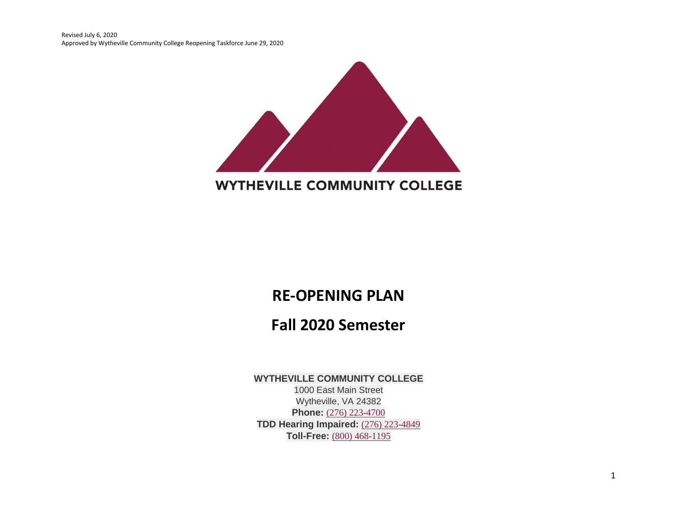Revised July 6, 2020 Approved by Wytheville Community College Reopening Taskforce June 29, 2020



## **WYTHEVILLE COMMUNITY COLLEGE**

# **RE-OPENING PLAN**

# **Fall 2020 Semester**

#### **WYTHEVILLE COMMUNITY COLLEGE**

1000 East Main Street Wytheville, VA 24382 **Phone:** (276) [223-4700](tel:+12762234700) **TDD Hearing Impaired:** (276) [223-4849](tel:+12762234849) **Toll-Free:** (800) [468-1195](tel:+18004681195)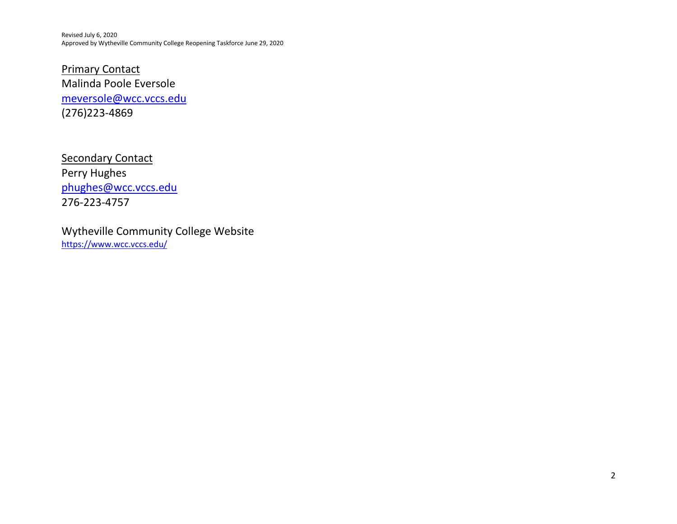Revised July 6, 2020 Approved by Wytheville Community College Reopening Taskforce June 29, 2020

**Primary Contact** Malinda Poole Eversole [meversole@wcc.vccs.edu](mailto:meversole@wcc.vccs.edu) (276)223-4869

**Secondary Contact** Perry Hughes [phughes@wcc.vccs.edu](mailto:phughes@wcc.vccs.edu) 276-223-4757

Wytheville Community College Website <https://www.wcc.vccs.edu/>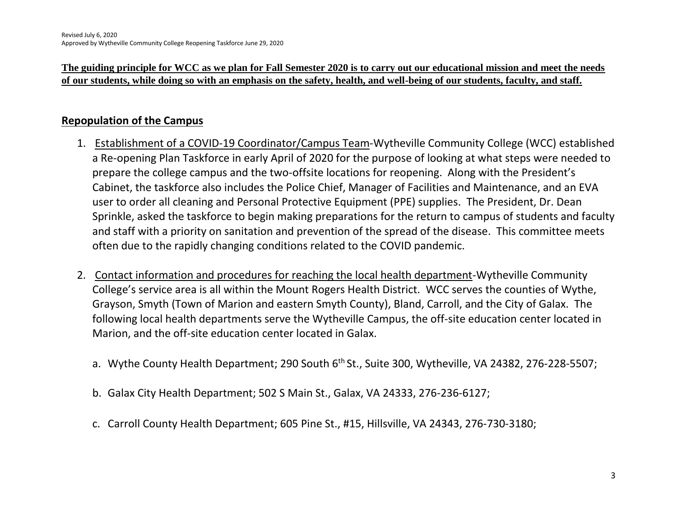**The guiding principle for WCC as we plan for Fall Semester 2020 is to carry out our educational mission and meet the needs of our students, while doing so with an emphasis on the safety, health, and well-being of our students, faculty, and staff.** 

### **Repopulation of the Campus**

- 1. Establishment of a COVID-19 Coordinator/Campus Team-Wytheville Community College (WCC) established a Re-opening Plan Taskforce in early April of 2020 for the purpose of looking at what steps were needed to prepare the college campus and the two-offsite locations for reopening. Along with the President's Cabinet, the taskforce also includes the Police Chief, Manager of Facilities and Maintenance, and an EVA user to order all cleaning and Personal Protective Equipment (PPE) supplies. The President, Dr. Dean Sprinkle, asked the taskforce to begin making preparations for the return to campus of students and faculty and staff with a priority on sanitation and prevention of the spread of the disease. This committee meets often due to the rapidly changing conditions related to the COVID pandemic.
- 2. Contact information and procedures for reaching the local health department-Wytheville Community College's service area is all within the Mount Rogers Health District. WCC serves the counties of Wythe, Grayson, Smyth (Town of Marion and eastern Smyth County), Bland, Carroll, and the City of Galax. The following local health departments serve the Wytheville Campus, the off-site education center located in Marion, and the off-site education center located in Galax.
	- a. Wythe County Health Department; 290 South 6<sup>th</sup> St., Suite 300, Wytheville, VA 24382, 276-228-5507;
	- b. Galax City Health Department; 502 S Main St., Galax, VA 24333, 276-236-6127;
	- c. Carroll County Health Department; 605 Pine St., #15, Hillsville, VA 24343, 276-730-3180;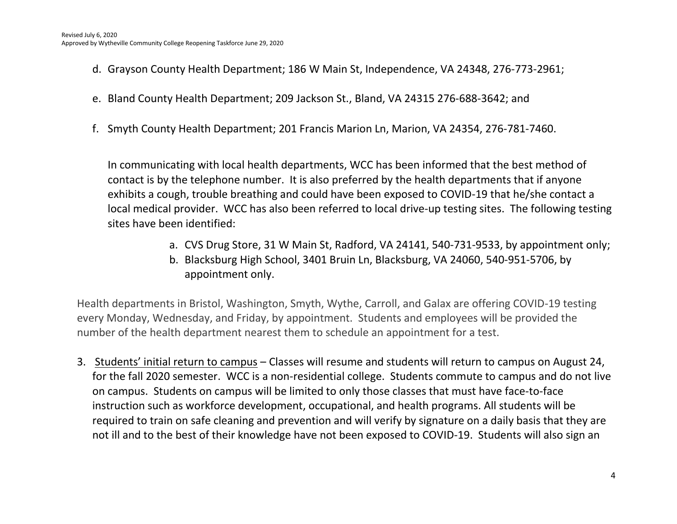- d. Grayson County Health Department; 186 W Main St, Independence, VA 24348, 276-773-2961;
- e. Bland County Health Department; 209 Jackson St., Bland, VA 24315 276-688-3642; and
- f. Smyth County Health Department; 201 Francis Marion Ln, Marion, VA 24354, 276-781-7460.

In communicating with local health departments, WCC has been informed that the best method of contact is by the telephone number. It is also preferred by the health departments that if anyone exhibits a cough, trouble breathing and could have been exposed to COVID-19 that he/she contact a local medical provider. WCC has also been referred to local drive-up testing sites. The following testing sites have been identified:

- a. CVS Drug Store, 31 W Main St, Radford, VA 24141, 540-731-9533, by appointment only;
- b. Blacksburg High School, 3401 Bruin Ln, Blacksburg, VA 24060, 540-951-5706, by appointment only.

Health departments in Bristol, Washington, Smyth, Wythe, Carroll, and Galax are offering COVID-19 testing every Monday, Wednesday, and Friday, by appointment. Students and employees will be provided the number of the health department nearest them to schedule an appointment for a test.

3. Students' initial return to campus – Classes will resume and students will return to campus on August 24, for the fall 2020 semester. WCC is a non-residential college. Students commute to campus and do not live on campus. Students on campus will be limited to only those classes that must have face-to-face instruction such as workforce development, occupational, and health programs. All students will be required to train on safe cleaning and prevention and will verify by signature on a daily basis that they are not ill and to the best of their knowledge have not been exposed to COVID-19. Students will also sign an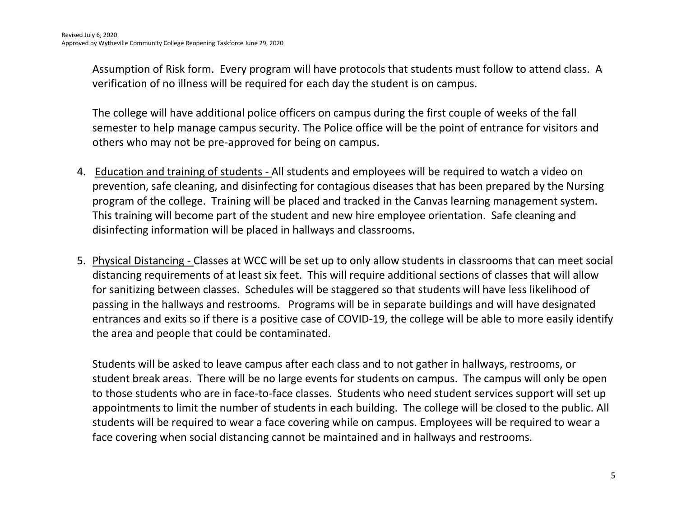Assumption of Risk form. Every program will have protocols that students must follow to attend class. A verification of no illness will be required for each day the student is on campus.

The college will have additional police officers on campus during the first couple of weeks of the fall semester to help manage campus security. The Police office will be the point of entrance for visitors and others who may not be pre-approved for being on campus.

- 4. Education and training of students All students and employees will be required to watch a video on prevention, safe cleaning, and disinfecting for contagious diseases that has been prepared by the Nursing program of the college. Training will be placed and tracked in the Canvas learning management system. This training will become part of the student and new hire employee orientation. Safe cleaning and disinfecting information will be placed in hallways and classrooms.
- 5. Physical Distancing Classes at WCC will be set up to only allow students in classrooms that can meet social distancing requirements of at least six feet. This will require additional sections of classes that will allow for sanitizing between classes. Schedules will be staggered so that students will have less likelihood of passing in the hallways and restrooms. Programs will be in separate buildings and will have designated entrances and exits so if there is a positive case of COVID-19, the college will be able to more easily identify the area and people that could be contaminated.

Students will be asked to leave campus after each class and to not gather in hallways, restrooms, or student break areas. There will be no large events for students on campus. The campus will only be open to those students who are in face-to-face classes. Students who need student services support will set up appointments to limit the number of students in each building. The college will be closed to the public. All students will be required to wear a face covering while on campus. Employees will be required to wear a face covering when social distancing cannot be maintained and in hallways and restrooms.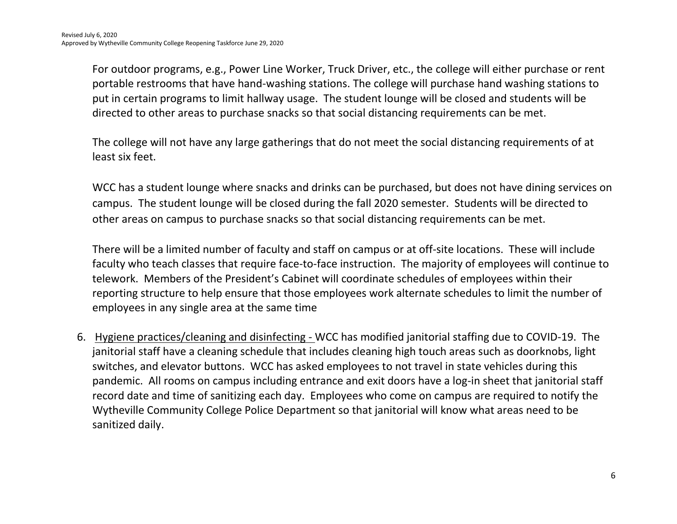For outdoor programs, e.g., Power Line Worker, Truck Driver, etc., the college will either purchase or rent portable restrooms that have hand-washing stations. The college will purchase hand washing stations to put in certain programs to limit hallway usage. The student lounge will be closed and students will be directed to other areas to purchase snacks so that social distancing requirements can be met.

The college will not have any large gatherings that do not meet the social distancing requirements of at least six feet.

WCC has a student lounge where snacks and drinks can be purchased, but does not have dining services on campus. The student lounge will be closed during the fall 2020 semester. Students will be directed to other areas on campus to purchase snacks so that social distancing requirements can be met.

There will be a limited number of faculty and staff on campus or at off-site locations. These will include faculty who teach classes that require face-to-face instruction. The majority of employees will continue to telework. Members of the President's Cabinet will coordinate schedules of employees within their reporting structure to help ensure that those employees work alternate schedules to limit the number of employees in any single area at the same time

6. Hygiene practices/cleaning and disinfecting - WCC has modified janitorial staffing due to COVID-19. The janitorial staff have a cleaning schedule that includes cleaning high touch areas such as doorknobs, light switches, and elevator buttons. WCC has asked employees to not travel in state vehicles during this pandemic. All rooms on campus including entrance and exit doors have a log-in sheet that janitorial staff record date and time of sanitizing each day. Employees who come on campus are required to notify the Wytheville Community College Police Department so that janitorial will know what areas need to be sanitized daily.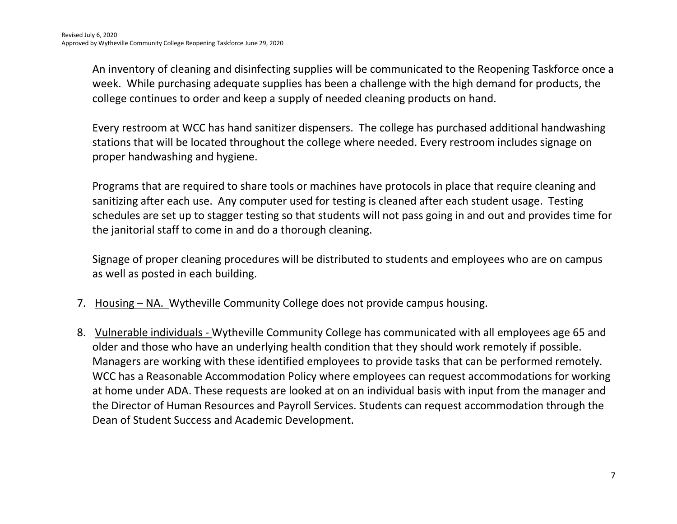An inventory of cleaning and disinfecting supplies will be communicated to the Reopening Taskforce once a week. While purchasing adequate supplies has been a challenge with the high demand for products, the college continues to order and keep a supply of needed cleaning products on hand.

Every restroom at WCC has hand sanitizer dispensers. The college has purchased additional handwashing stations that will be located throughout the college where needed. Every restroom includes signage on proper handwashing and hygiene.

Programs that are required to share tools or machines have protocols in place that require cleaning and sanitizing after each use. Any computer used for testing is cleaned after each student usage. Testing schedules are set up to stagger testing so that students will not pass going in and out and provides time for the janitorial staff to come in and do a thorough cleaning.

Signage of proper cleaning procedures will be distributed to students and employees who are on campus as well as posted in each building.

- 7. Housing NA. Wytheville Community College does not provide campus housing.
- 8. Vulnerable individuals Wytheville Community College has communicated with all employees age 65 and older and those who have an underlying health condition that they should work remotely if possible. Managers are working with these identified employees to provide tasks that can be performed remotely. WCC has a Reasonable Accommodation Policy where employees can request accommodations for working at home under ADA. These requests are looked at on an individual basis with input from the manager and the Director of Human Resources and Payroll Services. Students can request accommodation through the Dean of Student Success and Academic Development.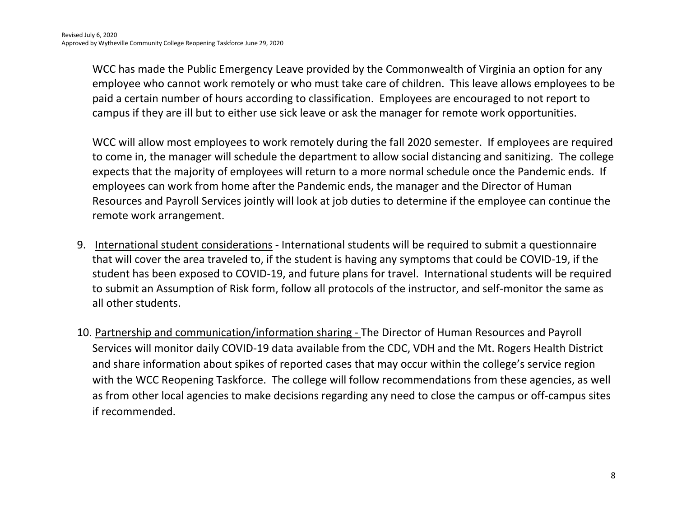WCC has made the Public Emergency Leave provided by the Commonwealth of Virginia an option for any employee who cannot work remotely or who must take care of children. This leave allows employees to be paid a certain number of hours according to classification. Employees are encouraged to not report to campus if they are ill but to either use sick leave or ask the manager for remote work opportunities.

WCC will allow most employees to work remotely during the fall 2020 semester. If employees are required to come in, the manager will schedule the department to allow social distancing and sanitizing. The college expects that the majority of employees will return to a more normal schedule once the Pandemic ends. If employees can work from home after the Pandemic ends, the manager and the Director of Human Resources and Payroll Services jointly will look at job duties to determine if the employee can continue the remote work arrangement.

- 9. International student considerations International students will be required to submit a questionnaire that will cover the area traveled to, if the student is having any symptoms that could be COVID-19, if the student has been exposed to COVID-19, and future plans for travel. International students will be required to submit an Assumption of Risk form, follow all protocols of the instructor, and self-monitor the same as all other students.
- 10. Partnership and communication/information sharing The Director of Human Resources and Payroll Services will monitor daily COVID-19 data available from the CDC, VDH and the Mt. Rogers Health District and share information about spikes of reported cases that may occur within the college's service region with the WCC Reopening Taskforce. The college will follow recommendations from these agencies, as well as from other local agencies to make decisions regarding any need to close the campus or off-campus sites if recommended.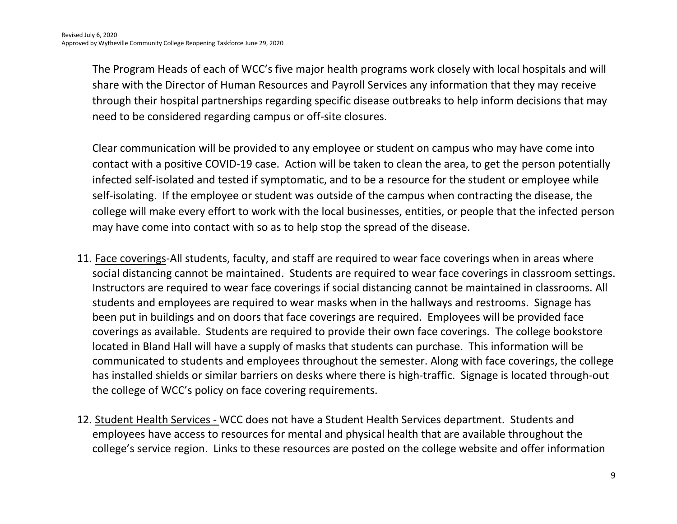The Program Heads of each of WCC's five major health programs work closely with local hospitals and will share with the Director of Human Resources and Payroll Services any information that they may receive through their hospital partnerships regarding specific disease outbreaks to help inform decisions that may need to be considered regarding campus or off-site closures.

Clear communication will be provided to any employee or student on campus who may have come into contact with a positive COVID-19 case. Action will be taken to clean the area, to get the person potentially infected self-isolated and tested if symptomatic, and to be a resource for the student or employee while self-isolating. If the employee or student was outside of the campus when contracting the disease, the college will make every effort to work with the local businesses, entities, or people that the infected person may have come into contact with so as to help stop the spread of the disease.

- 11. Face coverings-All students, faculty, and staff are required to wear face coverings when in areas where social distancing cannot be maintained. Students are required to wear face coverings in classroom settings. Instructors are required to wear face coverings if social distancing cannot be maintained in classrooms. All students and employees are required to wear masks when in the hallways and restrooms. Signage has been put in buildings and on doors that face coverings are required. Employees will be provided face coverings as available. Students are required to provide their own face coverings. The college bookstore located in Bland Hall will have a supply of masks that students can purchase. This information will be communicated to students and employees throughout the semester. Along with face coverings, the college has installed shields or similar barriers on desks where there is high-traffic. Signage is located through-out the college of WCC's policy on face covering requirements.
- 12. Student Health Services WCC does not have a Student Health Services department. Students and employees have access to resources for mental and physical health that are available throughout the college's service region. Links to these resources are posted on the college website and offer information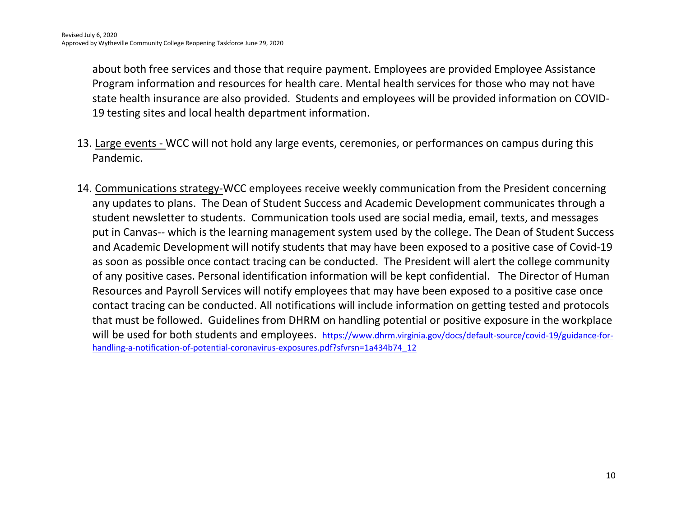about both free services and those that require payment. Employees are provided Employee Assistance Program information and resources for health care. Mental health services for those who may not have state health insurance are also provided. Students and employees will be provided information on COVID-19 testing sites and local health department information.

- 13. Large events WCC will not hold any large events, ceremonies, or performances on campus during this Pandemic.
- 14. Communications strategy-WCC employees receive weekly communication from the President concerning any updates to plans. The Dean of Student Success and Academic Development communicates through a student newsletter to students. Communication tools used are social media, email, texts, and messages put in Canvas-- which is the learning management system used by the college. The Dean of Student Success and Academic Development will notify students that may have been exposed to a positive case of Covid-19 as soon as possible once contact tracing can be conducted. The President will alert the college community of any positive cases. Personal identification information will be kept confidential. The Director of Human Resources and Payroll Services will notify employees that may have been exposed to a positive case once contact tracing can be conducted. All notifications will include information on getting tested and protocols that must be followed. Guidelines from DHRM on handling potential or positive exposure in the workplace will be used for both students and employees. [https://www.dhrm.virginia.gov/docs/default-source/covid-19/guidance-for](https://www.dhrm.virginia.gov/docs/default-source/covid-19/guidance-for-handling-a-notification-of-potential-coronavirus-exposures.pdf?sfvrsn=1a434b74_12)[handling-a-notification-of-potential-coronavirus-exposures.pdf?sfvrsn=1a434b74\\_12](https://www.dhrm.virginia.gov/docs/default-source/covid-19/guidance-for-handling-a-notification-of-potential-coronavirus-exposures.pdf?sfvrsn=1a434b74_12)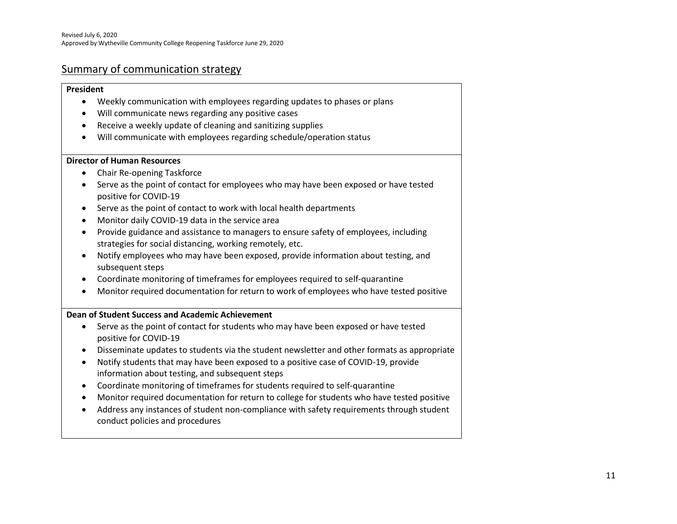#### Summary of communication strategy

#### **President**

- Weekly communication with employees regarding updates to phases or plans
- Will communicate news regarding any positive cases
- Receive a weekly update of cleaning and sanitizing supplies
- Will communicate with employees regarding schedule/operation status

#### **Director of Human Resources**

- Chair Re-opening Taskforce
- Serve as the point of contact for employees who may have been exposed or have tested positive for COVID-19
- Serve as the point of contact to work with local health departments
- Monitor daily COVID-19 data in the service area
- Provide guidance and assistance to managers to ensure safety of employees, including strategies for social distancing, working remotely, etc.
- Notify employees who may have been exposed, provide information about testing, and subsequent steps
- Coordinate monitoring of timeframes for employees required to self-quarantine
- Monitor required documentation for return to work of employees who have tested positive

#### **Dean of Student Success and Academic Achievement**

- Serve as the point of contact for students who may have been exposed or have tested positive for COVID-19
- Disseminate updates to students via the student newsletter and other formats as appropriate
- Notify students that may have been exposed to a positive case of COVID-19, provide information about testing, and subsequent steps
- Coordinate monitoring of timeframes for students required to self-quarantine
- Monitor required documentation for return to college for students who have tested positive
- Address any instances of student non-compliance with safety requirements through student conduct policies and procedures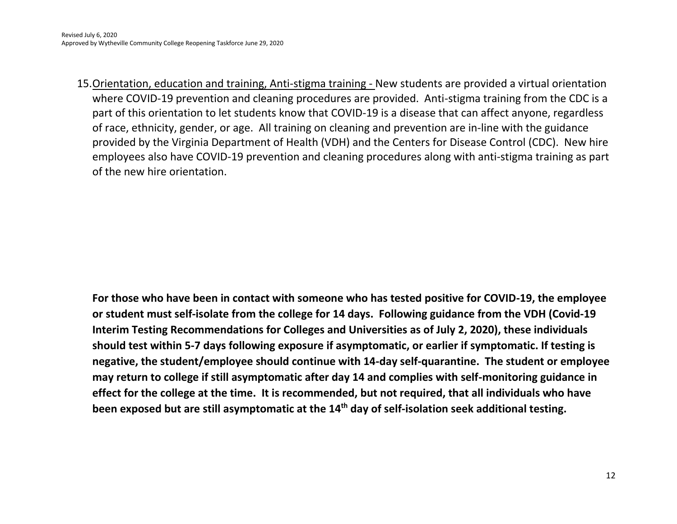15.Orientation, education and training, Anti-stigma training - New students are provided a virtual orientation where COVID-19 prevention and cleaning procedures are provided. Anti-stigma training from the CDC is a part of this orientation to let students know that COVID-19 is a disease that can affect anyone, regardless of race, ethnicity, gender, or age. All training on cleaning and prevention are in-line with the guidance provided by the Virginia Department of Health (VDH) and the Centers for Disease Control (CDC). New hire employees also have COVID-19 prevention and cleaning procedures along with anti-stigma training as part of the new hire orientation.

**For those who have been in contact with someone who has tested positive for COVID-19, the employee or student must self-isolate from the college for 14 days. Following guidance from the VDH (Covid-19 Interim Testing Recommendations for Colleges and Universities as of July 2, 2020), these individuals should test within 5-7 days following exposure if asymptomatic, or earlier if symptomatic. If testing is negative, the student/employee should continue with 14-day self-quarantine. The student or employee may return to college if still asymptomatic after day 14 and complies with self-monitoring guidance in effect for the college at the time. It is recommended, but not required, that all individuals who have been exposed but are still asymptomatic at the 14th day of self-isolation seek additional testing.**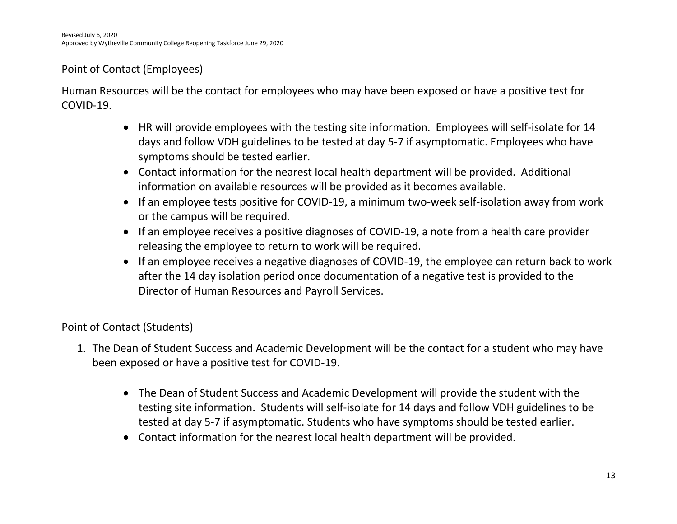### Point of Contact (Employees)

Human Resources will be the contact for employees who may have been exposed or have a positive test for COVID-19.

- HR will provide employees with the testing site information. Employees will self-isolate for 14 days and follow VDH guidelines to be tested at day 5-7 if asymptomatic. Employees who have symptoms should be tested earlier.
- Contact information for the nearest local health department will be provided. Additional information on available resources will be provided as it becomes available.
- If an employee tests positive for COVID-19, a minimum two-week self-isolation away from work or the campus will be required.
- If an employee receives a positive diagnoses of COVID-19, a note from a health care provider releasing the employee to return to work will be required.
- If an employee receives a negative diagnoses of COVID-19, the employee can return back to work after the 14 day isolation period once documentation of a negative test is provided to the Director of Human Resources and Payroll Services.

### Point of Contact (Students)

- 1. The Dean of Student Success and Academic Development will be the contact for a student who may have been exposed or have a positive test for COVID-19.
	- The Dean of Student Success and Academic Development will provide the student with the testing site information. Students will self-isolate for 14 days and follow VDH guidelines to be tested at day 5-7 if asymptomatic. Students who have symptoms should be tested earlier.
	- Contact information for the nearest local health department will be provided.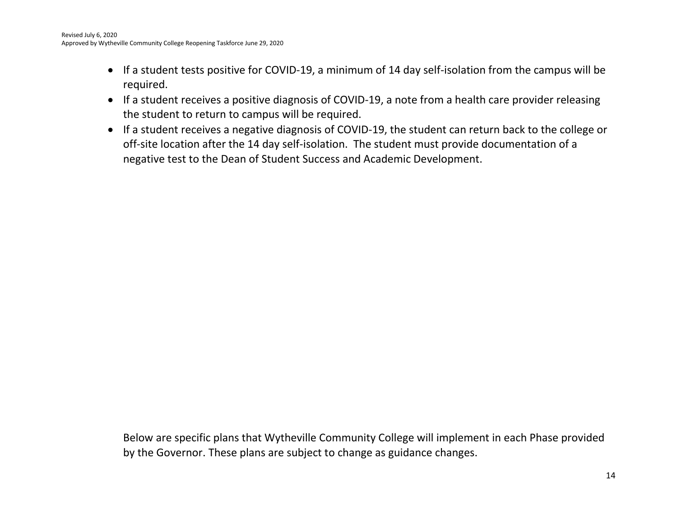- If a student tests positive for COVID-19, a minimum of 14 day self-isolation from the campus will be required.
- If a student receives a positive diagnosis of COVID-19, a note from a health care provider releasing the student to return to campus will be required.
- If a student receives a negative diagnosis of COVID-19, the student can return back to the college or off-site location after the 14 day self-isolation. The student must provide documentation of a negative test to the Dean of Student Success and Academic Development.

Below are specific plans that Wytheville Community College will implement in each Phase provided by the Governor. These plans are subject to change as guidance changes.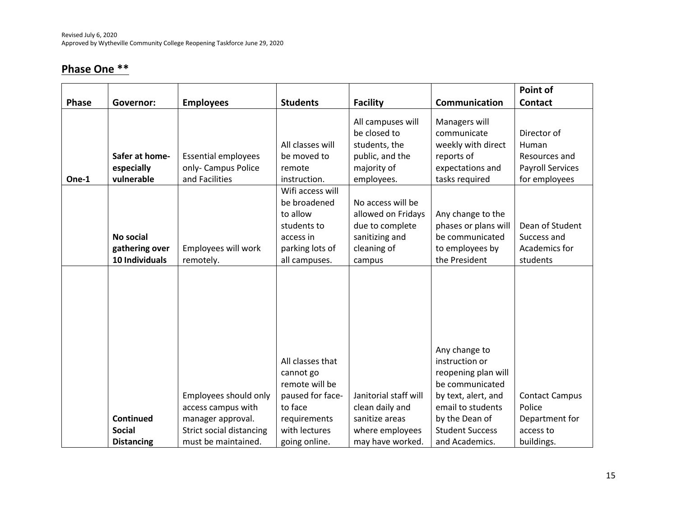## **Phase One \*\***

|              |                                               |                                                                                              |                                                                                                                 |                                                                                                       |                                                                                                                                                                   | Point of                                                                          |
|--------------|-----------------------------------------------|----------------------------------------------------------------------------------------------|-----------------------------------------------------------------------------------------------------------------|-------------------------------------------------------------------------------------------------------|-------------------------------------------------------------------------------------------------------------------------------------------------------------------|-----------------------------------------------------------------------------------|
| <b>Phase</b> | <b>Governor:</b>                              | <b>Employees</b>                                                                             | <b>Students</b>                                                                                                 | <b>Facility</b>                                                                                       | Communication                                                                                                                                                     | <b>Contact</b>                                                                    |
| One-1        | Safer at home-<br>especially<br>vulnerable    | <b>Essential employees</b><br>only- Campus Police<br>and Facilities                          | All classes will<br>be moved to<br>remote<br>instruction.                                                       | All campuses will<br>be closed to<br>students, the<br>public, and the<br>majority of<br>employees.    | Managers will<br>communicate<br>weekly with direct<br>reports of<br>expectations and<br>tasks required                                                            | Director of<br>Human<br>Resources and<br><b>Payroll Services</b><br>for employees |
|              | No social<br>gathering over<br>10 Individuals | Employees will work<br>remotely.                                                             | Wifi access will<br>be broadened<br>to allow<br>students to<br>access in<br>parking lots of<br>all campuses.    | No access will be<br>allowed on Fridays<br>due to complete<br>sanitizing and<br>cleaning of<br>campus | Any change to the<br>phases or plans will<br>be communicated<br>to employees by<br>the President                                                                  | Dean of Student<br>Success and<br>Academics for<br>students                       |
|              | Continued<br><b>Social</b>                    | Employees should only<br>access campus with<br>manager approval.<br>Strict social distancing | All classes that<br>cannot go<br>remote will be<br>paused for face-<br>to face<br>requirements<br>with lectures | Janitorial staff will<br>clean daily and<br>sanitize areas<br>where employees                         | Any change to<br>instruction or<br>reopening plan will<br>be communicated<br>by text, alert, and<br>email to students<br>by the Dean of<br><b>Student Success</b> | <b>Contact Campus</b><br>Police<br>Department for<br>access to                    |
|              | <b>Distancing</b>                             | must be maintained.                                                                          | going online.                                                                                                   | may have worked.                                                                                      | and Academics.                                                                                                                                                    | buildings.                                                                        |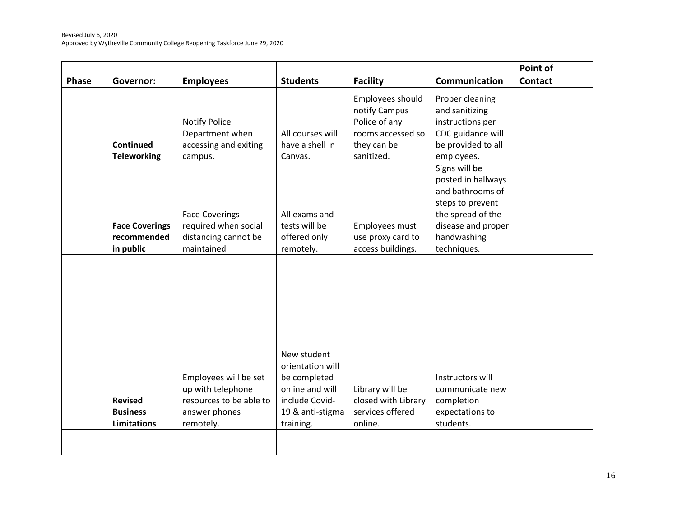|              |                                      |                                                                                        |                                                                                                          |                                                                                                      |                                                                                                                                       | Point of       |
|--------------|--------------------------------------|----------------------------------------------------------------------------------------|----------------------------------------------------------------------------------------------------------|------------------------------------------------------------------------------------------------------|---------------------------------------------------------------------------------------------------------------------------------------|----------------|
| <b>Phase</b> | <b>Governor:</b>                     | <b>Employees</b>                                                                       | <b>Students</b>                                                                                          | <b>Facility</b>                                                                                      | Communication                                                                                                                         | <b>Contact</b> |
|              | Continued<br><b>Teleworking</b>      | <b>Notify Police</b><br>Department when<br>accessing and exiting<br>campus.            | All courses will<br>have a shell in<br>Canvas.                                                           | Employees should<br>notify Campus<br>Police of any<br>rooms accessed so<br>they can be<br>sanitized. | Proper cleaning<br>and sanitizing<br>instructions per<br>CDC guidance will<br>be provided to all<br>employees.                        |                |
|              | <b>Face Coverings</b><br>recommended | <b>Face Coverings</b><br>required when social<br>distancing cannot be                  | All exams and<br>tests will be<br>offered only                                                           | Employees must<br>use proxy card to                                                                  | Signs will be<br>posted in hallways<br>and bathrooms of<br>steps to prevent<br>the spread of the<br>disease and proper<br>handwashing |                |
|              | in public                            | maintained                                                                             | remotely.                                                                                                | access buildings.                                                                                    | techniques.                                                                                                                           |                |
|              | <b>Revised</b><br><b>Business</b>    | Employees will be set<br>up with telephone<br>resources to be able to<br>answer phones | New student<br>orientation will<br>be completed<br>online and will<br>include Covid-<br>19 & anti-stigma | Library will be<br>closed with Library<br>services offered                                           | Instructors will<br>communicate new<br>completion<br>expectations to                                                                  |                |
|              | <b>Limitations</b>                   | remotely.                                                                              | training.                                                                                                | online.                                                                                              | students.                                                                                                                             |                |
|              |                                      |                                                                                        |                                                                                                          |                                                                                                      |                                                                                                                                       |                |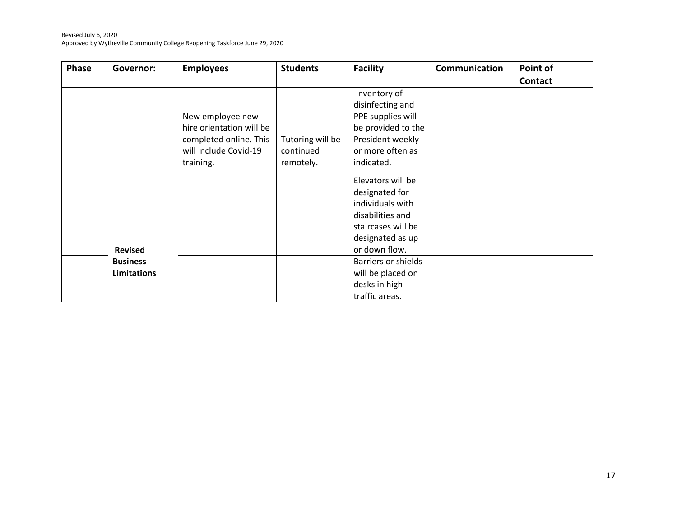#### Revised July 6, 2020 Approved by Wytheville Community College Reopening Taskforce June 29, 2020

| <b>Phase</b> | Governor:          | <b>Employees</b>         | <b>Students</b>  | <b>Facility</b>     | Communication | Point of       |
|--------------|--------------------|--------------------------|------------------|---------------------|---------------|----------------|
|              |                    |                          |                  |                     |               | <b>Contact</b> |
|              |                    |                          |                  | Inventory of        |               |                |
|              |                    |                          |                  | disinfecting and    |               |                |
|              |                    | New employee new         |                  | PPE supplies will   |               |                |
|              |                    | hire orientation will be |                  | be provided to the  |               |                |
|              |                    | completed online. This   | Tutoring will be | President weekly    |               |                |
|              |                    | will include Covid-19    | continued        | or more often as    |               |                |
|              |                    | training.                | remotely.        | indicated.          |               |                |
|              |                    |                          |                  | Elevators will be   |               |                |
|              |                    |                          |                  | designated for      |               |                |
|              |                    |                          |                  | individuals with    |               |                |
|              |                    |                          |                  | disabilities and    |               |                |
|              |                    |                          |                  |                     |               |                |
|              |                    |                          |                  | staircases will be  |               |                |
|              |                    |                          |                  | designated as up    |               |                |
|              | <b>Revised</b>     |                          |                  | or down flow.       |               |                |
|              | <b>Business</b>    |                          |                  | Barriers or shields |               |                |
|              | <b>Limitations</b> |                          |                  | will be placed on   |               |                |
|              |                    |                          |                  | desks in high       |               |                |
|              |                    |                          |                  | traffic areas.      |               |                |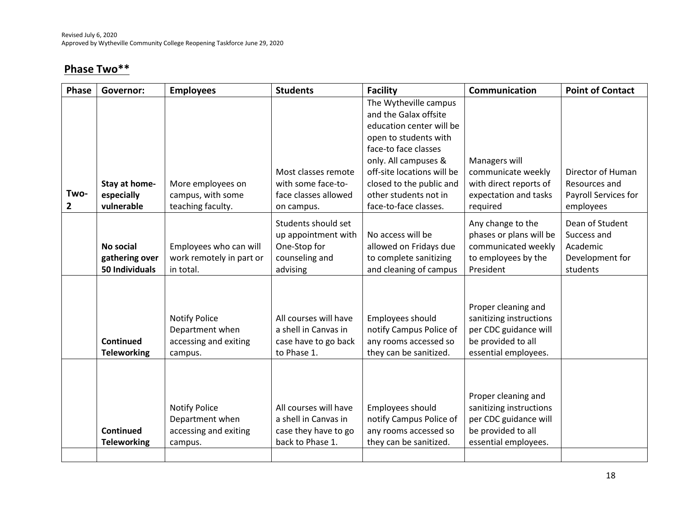## **Phase Two\*\***

| <b>Governor:</b>                              | <b>Employees</b>                                                            | <b>Students</b>                                                                           | <b>Facility</b>                                                                                                                                                                                                                                                 | Communication                                                                                                         | <b>Point of Contact</b>                                                   |
|-----------------------------------------------|-----------------------------------------------------------------------------|-------------------------------------------------------------------------------------------|-----------------------------------------------------------------------------------------------------------------------------------------------------------------------------------------------------------------------------------------------------------------|-----------------------------------------------------------------------------------------------------------------------|---------------------------------------------------------------------------|
| Stay at home-<br>especially<br>vulnerable     | More employees on<br>campus, with some<br>teaching faculty.                 | Most classes remote<br>with some face-to-<br>face classes allowed<br>on campus.           | The Wytheville campus<br>and the Galax offsite<br>education center will be<br>open to students with<br>face-to face classes<br>only. All campuses &<br>off-site locations will be<br>closed to the public and<br>other students not in<br>face-to-face classes. | Managers will<br>communicate weekly<br>with direct reports of<br>expectation and tasks<br>required                    | Director of Human<br>Resources and<br>Payroll Services for<br>employees   |
| No social<br>gathering over<br>50 Individuals | Employees who can will<br>work remotely in part or<br>in total.             | Students should set<br>up appointment with<br>One-Stop for<br>counseling and<br>advising  | No access will be<br>allowed on Fridays due<br>to complete sanitizing<br>and cleaning of campus                                                                                                                                                                 | Any change to the<br>phases or plans will be<br>communicated weekly<br>to employees by the<br>President               | Dean of Student<br>Success and<br>Academic<br>Development for<br>students |
| Continued<br><b>Teleworking</b>               | <b>Notify Police</b><br>Department when<br>accessing and exiting<br>campus. | All courses will have<br>a shell in Canvas in<br>case have to go back<br>to Phase 1.      | Employees should<br>notify Campus Police of<br>any rooms accessed so<br>they can be sanitized.                                                                                                                                                                  | Proper cleaning and<br>sanitizing instructions<br>per CDC guidance will<br>be provided to all<br>essential employees. |                                                                           |
| Continued<br><b>Teleworking</b>               | <b>Notify Police</b><br>Department when<br>accessing and exiting<br>campus. | All courses will have<br>a shell in Canvas in<br>case they have to go<br>back to Phase 1. | Employees should<br>notify Campus Police of<br>any rooms accessed so<br>they can be sanitized.                                                                                                                                                                  | Proper cleaning and<br>sanitizing instructions<br>per CDC guidance will<br>be provided to all<br>essential employees. |                                                                           |
|                                               |                                                                             |                                                                                           |                                                                                                                                                                                                                                                                 |                                                                                                                       |                                                                           |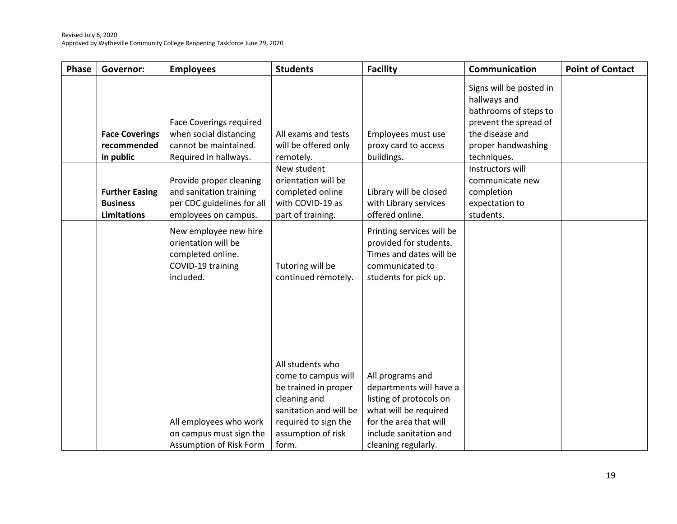| <b>Phase</b> | Governor:                                                      | <b>Employees</b>                                                                                           | <b>Students</b>                                                                                                                                                  | <b>Facility</b>                                                                                                                                                            | Communication                                                                                                                                     | <b>Point of Contact</b> |
|--------------|----------------------------------------------------------------|------------------------------------------------------------------------------------------------------------|------------------------------------------------------------------------------------------------------------------------------------------------------------------|----------------------------------------------------------------------------------------------------------------------------------------------------------------------------|---------------------------------------------------------------------------------------------------------------------------------------------------|-------------------------|
|              | <b>Face Coverings</b><br>recommended<br>in public              | <b>Face Coverings required</b><br>when social distancing<br>cannot be maintained.<br>Required in hallways. | All exams and tests<br>will be offered only<br>remotely.                                                                                                         | Employees must use<br>proxy card to access<br>buildings.                                                                                                                   | Signs will be posted in<br>hallways and<br>bathrooms of steps to<br>prevent the spread of<br>the disease and<br>proper handwashing<br>techniques. |                         |
|              | <b>Further Easing</b><br><b>Business</b><br><b>Limitations</b> | Provide proper cleaning<br>and sanitation training<br>per CDC guidelines for all<br>employees on campus.   | New student<br>orientation will be<br>completed online<br>with COVID-19 as<br>part of training.                                                                  | Library will be closed<br>with Library services<br>offered online.                                                                                                         | Instructors will<br>communicate new<br>completion<br>expectation to<br>students.                                                                  |                         |
|              |                                                                | New employee new hire<br>orientation will be<br>completed online.<br>COVID-19 training<br>included.        | Tutoring will be<br>continued remotely.                                                                                                                          | Printing services will be<br>provided for students.<br>Times and dates will be<br>communicated to<br>students for pick up.                                                 |                                                                                                                                                   |                         |
|              |                                                                | All employees who work<br>on campus must sign the<br>Assumption of Risk Form                               | All students who<br>come to campus will<br>be trained in proper<br>cleaning and<br>sanitation and will be<br>required to sign the<br>assumption of risk<br>form. | All programs and<br>departments will have a<br>listing of protocols on<br>what will be required<br>for the area that will<br>include sanitation and<br>cleaning regularly. |                                                                                                                                                   |                         |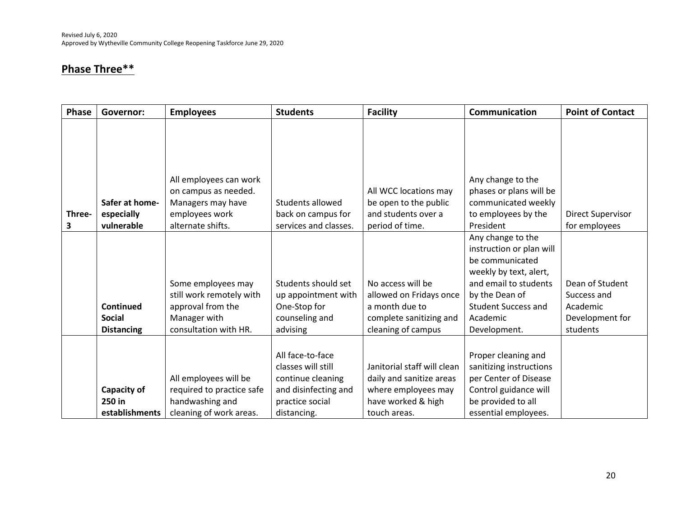## **Phase Three\*\***

| <b>Phase</b> | Governor:                               | <b>Employees</b>                                                                                 | <b>Students</b>                                                                                                       | <b>Facility</b>                                                                                                      | Communication                                                                                                                                  | <b>Point of Contact</b>  |
|--------------|-----------------------------------------|--------------------------------------------------------------------------------------------------|-----------------------------------------------------------------------------------------------------------------------|----------------------------------------------------------------------------------------------------------------------|------------------------------------------------------------------------------------------------------------------------------------------------|--------------------------|
| Three-       | Safer at home-<br>especially            | All employees can work<br>on campus as needed.<br>Managers may have<br>employees work            | Students allowed<br>back on campus for                                                                                | All WCC locations may<br>be open to the public<br>and students over a                                                | Any change to the<br>phases or plans will be<br>communicated weekly<br>to employees by the                                                     | <b>Direct Supervisor</b> |
| 3            | vulnerable                              | alternate shifts.                                                                                | services and classes.                                                                                                 | period of time.                                                                                                      | President<br>Any change to the                                                                                                                 | for employees            |
|              |                                         | Some employees may                                                                               | Students should set                                                                                                   | No access will be                                                                                                    | instruction or plan will<br>be communicated<br>weekly by text, alert,<br>and email to students                                                 | Dean of Student          |
|              |                                         | still work remotely with                                                                         | up appointment with                                                                                                   | allowed on Fridays once                                                                                              | by the Dean of                                                                                                                                 | Success and              |
|              | <b>Continued</b>                        | approval from the                                                                                | One-Stop for                                                                                                          | a month due to                                                                                                       | <b>Student Success and</b>                                                                                                                     | Academic                 |
|              | <b>Social</b>                           | Manager with                                                                                     | counseling and                                                                                                        | complete sanitizing and                                                                                              | Academic                                                                                                                                       | Development for          |
|              | <b>Distancing</b>                       | consultation with HR.                                                                            | advising                                                                                                              | cleaning of campus                                                                                                   | Development.                                                                                                                                   | students                 |
|              | Capacity of<br>250 in<br>establishments | All employees will be<br>required to practice safe<br>handwashing and<br>cleaning of work areas. | All face-to-face<br>classes will still<br>continue cleaning<br>and disinfecting and<br>practice social<br>distancing. | Janitorial staff will clean<br>daily and sanitize areas<br>where employees may<br>have worked & high<br>touch areas. | Proper cleaning and<br>sanitizing instructions<br>per Center of Disease<br>Control guidance will<br>be provided to all<br>essential employees. |                          |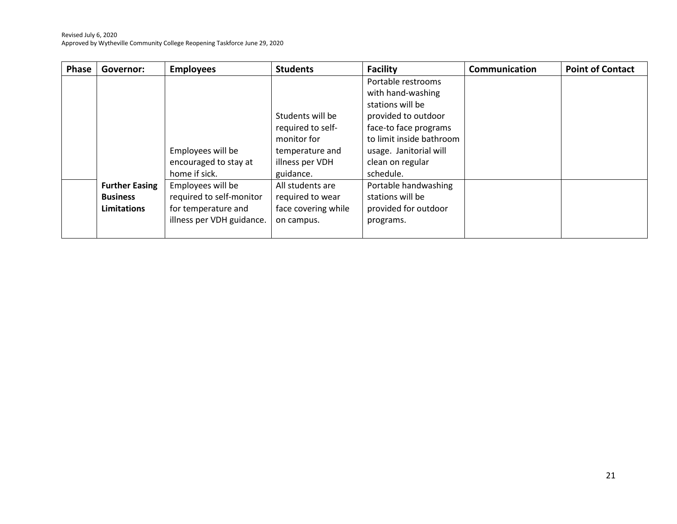| <b>Phase</b> | Governor:             | <b>Employees</b>          | <b>Students</b>     | <b>Facility</b>          | Communication | <b>Point of Contact</b> |
|--------------|-----------------------|---------------------------|---------------------|--------------------------|---------------|-------------------------|
|              |                       |                           |                     | Portable restrooms       |               |                         |
|              |                       |                           |                     | with hand-washing        |               |                         |
|              |                       |                           |                     | stations will be         |               |                         |
|              |                       |                           | Students will be    | provided to outdoor      |               |                         |
|              |                       |                           | required to self-   | face-to face programs    |               |                         |
|              |                       |                           | monitor for         | to limit inside bathroom |               |                         |
|              |                       | Employees will be         | temperature and     | usage. Janitorial will   |               |                         |
|              |                       | encouraged to stay at     | illness per VDH     | clean on regular         |               |                         |
|              |                       | home if sick.             | guidance.           | schedule.                |               |                         |
|              | <b>Further Easing</b> | Employees will be         | All students are    | Portable handwashing     |               |                         |
|              | <b>Business</b>       | required to self-monitor  | required to wear    | stations will be         |               |                         |
|              | Limitations           | for temperature and       | face covering while | provided for outdoor     |               |                         |
|              |                       | illness per VDH guidance. | on campus.          | programs.                |               |                         |
|              |                       |                           |                     |                          |               |                         |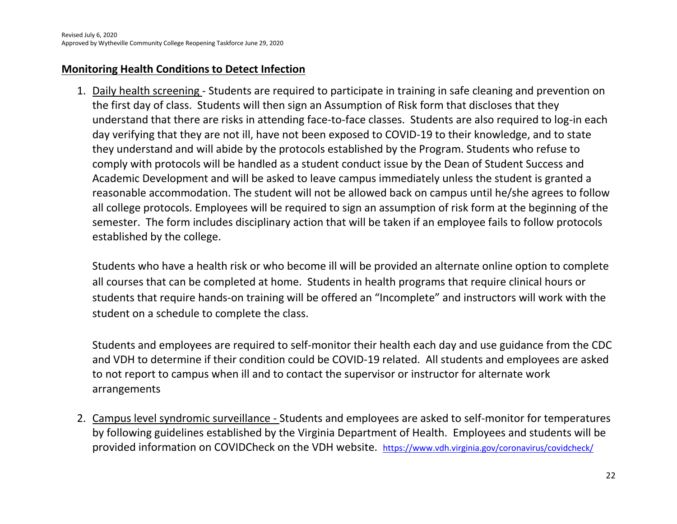### **Monitoring Health Conditions to Detect Infection**

1. Daily health screening - Students are required to participate in training in safe cleaning and prevention on the first day of class. Students will then sign an Assumption of Risk form that discloses that they understand that there are risks in attending face-to-face classes. Students are also required to log-in each day verifying that they are not ill, have not been exposed to COVID-19 to their knowledge, and to state they understand and will abide by the protocols established by the Program. Students who refuse to comply with protocols will be handled as a student conduct issue by the Dean of Student Success and Academic Development and will be asked to leave campus immediately unless the student is granted a reasonable accommodation. The student will not be allowed back on campus until he/she agrees to follow all college protocols. Employees will be required to sign an assumption of risk form at the beginning of the semester. The form includes disciplinary action that will be taken if an employee fails to follow protocols established by the college.

Students who have a health risk or who become ill will be provided an alternate online option to complete all courses that can be completed at home. Students in health programs that require clinical hours or students that require hands-on training will be offered an "Incomplete" and instructors will work with the student on a schedule to complete the class.

Students and employees are required to self-monitor their health each day and use guidance from the CDC and VDH to determine if their condition could be COVID-19 related. All students and employees are asked to not report to campus when ill and to contact the supervisor or instructor for alternate work arrangements

2. Campus level syndromic surveillance - Students and employees are asked to self-monitor for temperatures by following guidelines established by the Virginia Department of Health. Employees and students will be provided information on COVIDCheck on the VDH website. <https://www.vdh.virginia.gov/coronavirus/covidcheck/>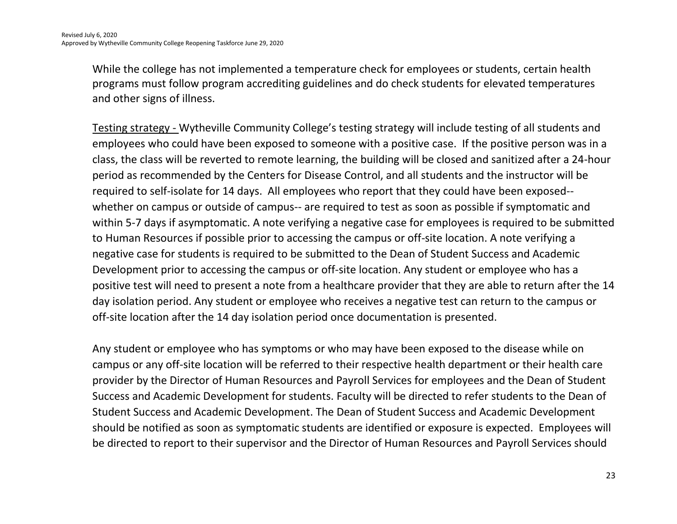While the college has not implemented a temperature check for employees or students, certain health programs must follow program accrediting guidelines and do check students for elevated temperatures and other signs of illness.

Testing strategy - Wytheville Community College's testing strategy will include testing of all students and employees who could have been exposed to someone with a positive case. If the positive person was in a class, the class will be reverted to remote learning, the building will be closed and sanitized after a 24-hour period as recommended by the Centers for Disease Control, and all students and the instructor will be required to self-isolate for 14 days. All employees who report that they could have been exposed- whether on campus or outside of campus-- are required to test as soon as possible if symptomatic and within 5-7 days if asymptomatic. A note verifying a negative case for employees is required to be submitted to Human Resources if possible prior to accessing the campus or off-site location. A note verifying a negative case for students is required to be submitted to the Dean of Student Success and Academic Development prior to accessing the campus or off-site location. Any student or employee who has a positive test will need to present a note from a healthcare provider that they are able to return after the 14 day isolation period. Any student or employee who receives a negative test can return to the campus or off-site location after the 14 day isolation period once documentation is presented.

Any student or employee who has symptoms or who may have been exposed to the disease while on campus or any off-site location will be referred to their respective health department or their health care provider by the Director of Human Resources and Payroll Services for employees and the Dean of Student Success and Academic Development for students. Faculty will be directed to refer students to the Dean of Student Success and Academic Development. The Dean of Student Success and Academic Development should be notified as soon as symptomatic students are identified or exposure is expected. Employees will be directed to report to their supervisor and the Director of Human Resources and Payroll Services should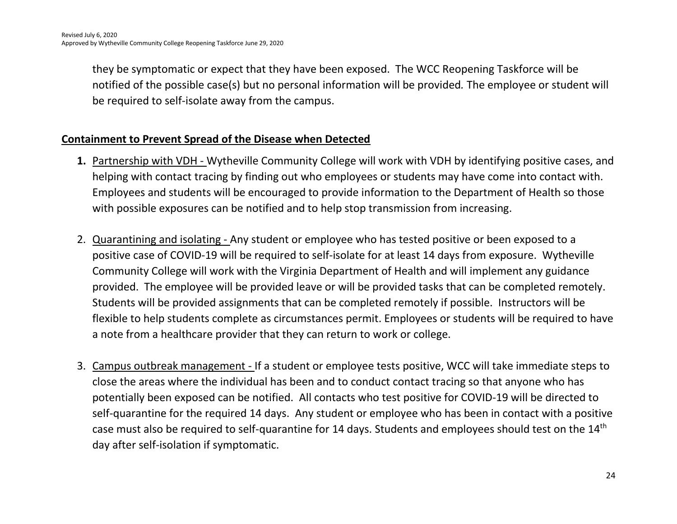they be symptomatic or expect that they have been exposed. The WCC Reopening Taskforce will be notified of the possible case(s) but no personal information will be provided*.* The employee or student will be required to self-isolate away from the campus.

### **Containment to Prevent Spread of the Disease when Detected**

- **1.** Partnership with VDH Wytheville Community College will work with VDH by identifying positive cases, and helping with contact tracing by finding out who employees or students may have come into contact with. Employees and students will be encouraged to provide information to the Department of Health so those with possible exposures can be notified and to help stop transmission from increasing.
- 2. Quarantining and isolating Any student or employee who has tested positive or been exposed to a positive case of COVID-19 will be required to self-isolate for at least 14 days from exposure. Wytheville Community College will work with the Virginia Department of Health and will implement any guidance provided. The employee will be provided leave or will be provided tasks that can be completed remotely. Students will be provided assignments that can be completed remotely if possible. Instructors will be flexible to help students complete as circumstances permit. Employees or students will be required to have a note from a healthcare provider that they can return to work or college.
- 3. Campus outbreak management If a student or employee tests positive, WCC will take immediate steps to close the areas where the individual has been and to conduct contact tracing so that anyone who has potentially been exposed can be notified. All contacts who test positive for COVID-19 will be directed to self-quarantine for the required 14 days. Any student or employee who has been in contact with a positive case must also be required to self-quarantine for 14 days. Students and employees should test on the 14th day after self-isolation if symptomatic.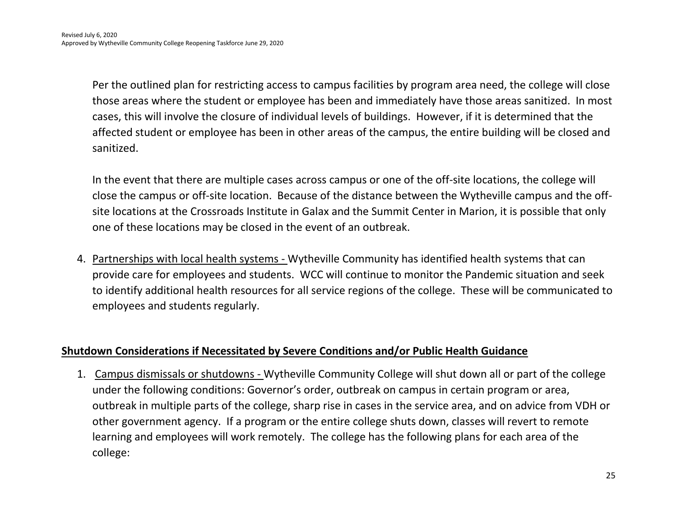Per the outlined plan for restricting access to campus facilities by program area need, the college will close those areas where the student or employee has been and immediately have those areas sanitized. In most cases, this will involve the closure of individual levels of buildings. However, if it is determined that the affected student or employee has been in other areas of the campus, the entire building will be closed and sanitized.

In the event that there are multiple cases across campus or one of the off-site locations, the college will close the campus or off-site location. Because of the distance between the Wytheville campus and the offsite locations at the Crossroads Institute in Galax and the Summit Center in Marion, it is possible that only one of these locations may be closed in the event of an outbreak.

4. Partnerships with local health systems - Wytheville Community has identified health systems that can provide care for employees and students. WCC will continue to monitor the Pandemic situation and seek to identify additional health resources for all service regions of the college. These will be communicated to employees and students regularly.

#### **Shutdown Considerations if Necessitated by Severe Conditions and/or Public Health Guidance**

1. Campus dismissals or shutdowns - Wytheville Community College will shut down all or part of the college under the following conditions: Governor's order, outbreak on campus in certain program or area, outbreak in multiple parts of the college, sharp rise in cases in the service area, and on advice from VDH or other government agency. If a program or the entire college shuts down, classes will revert to remote learning and employees will work remotely. The college has the following plans for each area of the college: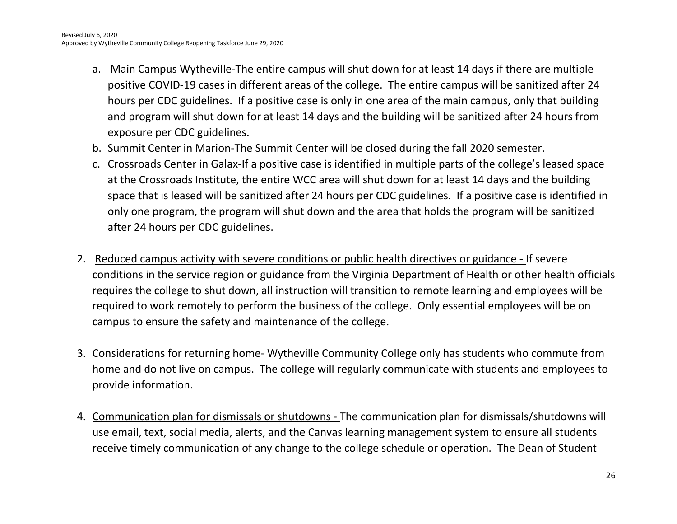- a. Main Campus Wytheville-The entire campus will shut down for at least 14 days if there are multiple positive COVID-19 cases in different areas of the college. The entire campus will be sanitized after 24 hours per CDC guidelines. If a positive case is only in one area of the main campus, only that building and program will shut down for at least 14 days and the building will be sanitized after 24 hours from exposure per CDC guidelines.
- b. Summit Center in Marion-The Summit Center will be closed during the fall 2020 semester.
- c. Crossroads Center in Galax-If a positive case is identified in multiple parts of the college's leased space at the Crossroads Institute, the entire WCC area will shut down for at least 14 days and the building space that is leased will be sanitized after 24 hours per CDC guidelines. If a positive case is identified in only one program, the program will shut down and the area that holds the program will be sanitized after 24 hours per CDC guidelines.
- 2. Reduced campus activity with severe conditions or public health directives or guidance If severe conditions in the service region or guidance from the Virginia Department of Health or other health officials requires the college to shut down, all instruction will transition to remote learning and employees will be required to work remotely to perform the business of the college. Only essential employees will be on campus to ensure the safety and maintenance of the college.
- 3. Considerations for returning home- Wytheville Community College only has students who commute from home and do not live on campus. The college will regularly communicate with students and employees to provide information.
- 4. Communication plan for dismissals or shutdowns The communication plan for dismissals/shutdowns will use email, text, social media, alerts, and the Canvas learning management system to ensure all students receive timely communication of any change to the college schedule or operation. The Dean of Student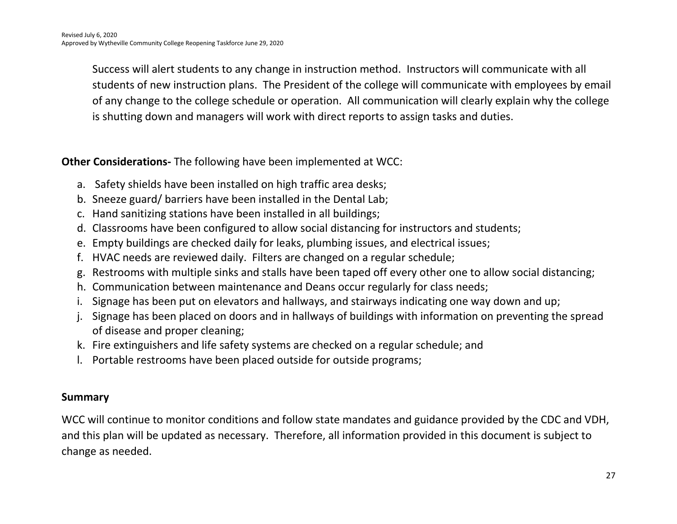Success will alert students to any change in instruction method. Instructors will communicate with all students of new instruction plans. The President of the college will communicate with employees by email of any change to the college schedule or operation. All communication will clearly explain why the college is shutting down and managers will work with direct reports to assign tasks and duties.

**Other Considerations-** The following have been implemented at WCC:

- a. Safety shields have been installed on high traffic area desks;
- b. Sneeze guard/ barriers have been installed in the Dental Lab;
- c. Hand sanitizing stations have been installed in all buildings;
- d. Classrooms have been configured to allow social distancing for instructors and students;
- e. Empty buildings are checked daily for leaks, plumbing issues, and electrical issues;
- f. HVAC needs are reviewed daily. Filters are changed on a regular schedule;
- g. Restrooms with multiple sinks and stalls have been taped off every other one to allow social distancing;
- h. Communication between maintenance and Deans occur regularly for class needs;
- i. Signage has been put on elevators and hallways, and stairways indicating one way down and up;
- j. Signage has been placed on doors and in hallways of buildings with information on preventing the spread of disease and proper cleaning;
- k. Fire extinguishers and life safety systems are checked on a regular schedule; and
- l. Portable restrooms have been placed outside for outside programs;

#### **Summary**

WCC will continue to monitor conditions and follow state mandates and guidance provided by the CDC and VDH, and this plan will be updated as necessary. Therefore, all information provided in this document is subject to change as needed.